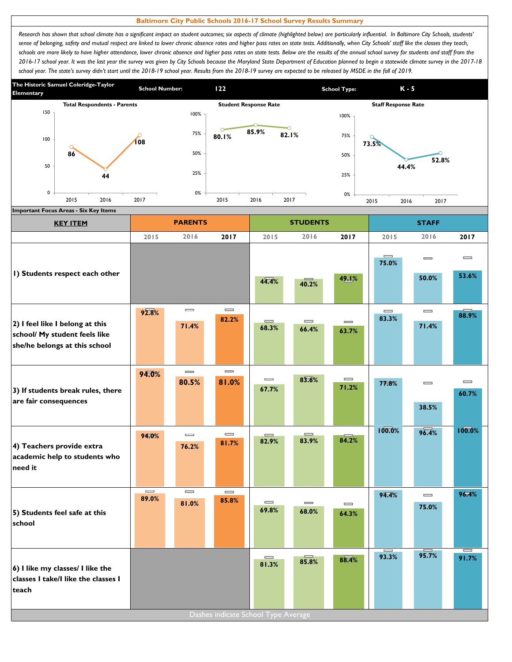## **Baltimore City Public Schools 2016-17 School Survey Results Summary**

*Research has shown that school climate has a significant impact on student outcomes; six aspects of climate (highlighted below) are particularly influential. In Baltimore City Schools, students' sense of belonging, safety and mutual respect are linked to lower chronic absence rates and higher pass rates on state tests. Additionally, when City Schools' staff like the classes they teach,*  schools are more likely to have higher attendance, lower chronic absence and higher pass rates on state tests. Below are the results of the annual school survey for students and staff from the *2016-17 school year. It was the last year the survey was given by City Schools because the Maryland State Department of Education planned to begin a statewide climate survey in the 2017-18*  school year. The state's survey didn't start until the 2018-19 school year. Results from the 2018-19 survey are expected to be released by MSDE in the fall of 2019.



| <b>KEY ITEM</b>                                                                                   |                                          | <b>PARENTS</b>                        |                                       |                                       | <b>STUDENTS</b>                       |                                       | <b>STAFF</b>      |                                       |                                       |
|---------------------------------------------------------------------------------------------------|------------------------------------------|---------------------------------------|---------------------------------------|---------------------------------------|---------------------------------------|---------------------------------------|-------------------|---------------------------------------|---------------------------------------|
|                                                                                                   | 2015                                     | 2016                                  | 2017                                  | 2015                                  | 2016                                  | 2017                                  | 2015              | 2016                                  | 2017                                  |
| I) Students respect each other                                                                    |                                          |                                       |                                       | 44.4%                                 | 40.2%                                 | 49.1%                                 | $\equiv$<br>75.0% | $\equiv$<br>50.0%                     | $\qquad \qquad \blacksquare$<br>53.6% |
| 2) I feel like I belong at this<br>school/ My student feels like<br>she/he belongs at this school | 92.8%                                    | $\equiv$<br>71.4%                     | $\qquad \qquad \blacksquare$<br>82.2% | $\equiv$<br>68.3%                     | $\qquad \qquad \blacksquare$<br>66.4% | $\qquad \qquad \blacksquare$<br>63.7% | $\equiv$<br>83.3% | $\qquad \qquad =$<br>71.4%            | 88.9%                                 |
| 3) If students break rules, there<br>are fair consequences                                        | 94.0%                                    | $=$<br>80.5%                          | $\qquad \qquad \blacksquare$<br>81.0% | $\qquad \qquad \blacksquare$<br>67.7% | 83.6%                                 | $\qquad \qquad \blacksquare$<br>71.2% | 77.8%             | $\qquad \qquad \blacksquare$<br>38.5% | $\equiv$<br>60.7%                     |
| 4) Teachers provide extra<br>academic help to students who<br>need it                             | 94.0%                                    | $\equiv$<br>76.2%                     | $\qquad \qquad \blacksquare$<br>81.7% | 82.9%                                 | =<br>83.9%                            | 84.2%                                 | 100.0%            | 96.4%                                 | 100.0%                                |
| 5) Students feel safe at this<br>school                                                           | $\qquad \qquad = \qquad \qquad$<br>89.0% | $\qquad \qquad \blacksquare$<br>81.0% | $\qquad \qquad \blacksquare$<br>85.8% | $\qquad \qquad \blacksquare$<br>69.8% | $\qquad \qquad \blacksquare$<br>68.0% | $\qquad \qquad \blacksquare$<br>64.3% | 94.4%             | $\qquad \qquad \blacksquare$<br>75.0% | 96.4%                                 |
| 6) I like my classes/ I like the<br>classes I take/I like the classes I<br>teach                  |                                          |                                       | Dashes indicate School Type Average   | $\qquad \qquad \blacksquare$<br>81.3% | 85.8%                                 | 88.4%                                 | I<br>93.3%        | 95.7%                                 | I<br>91.7%                            |